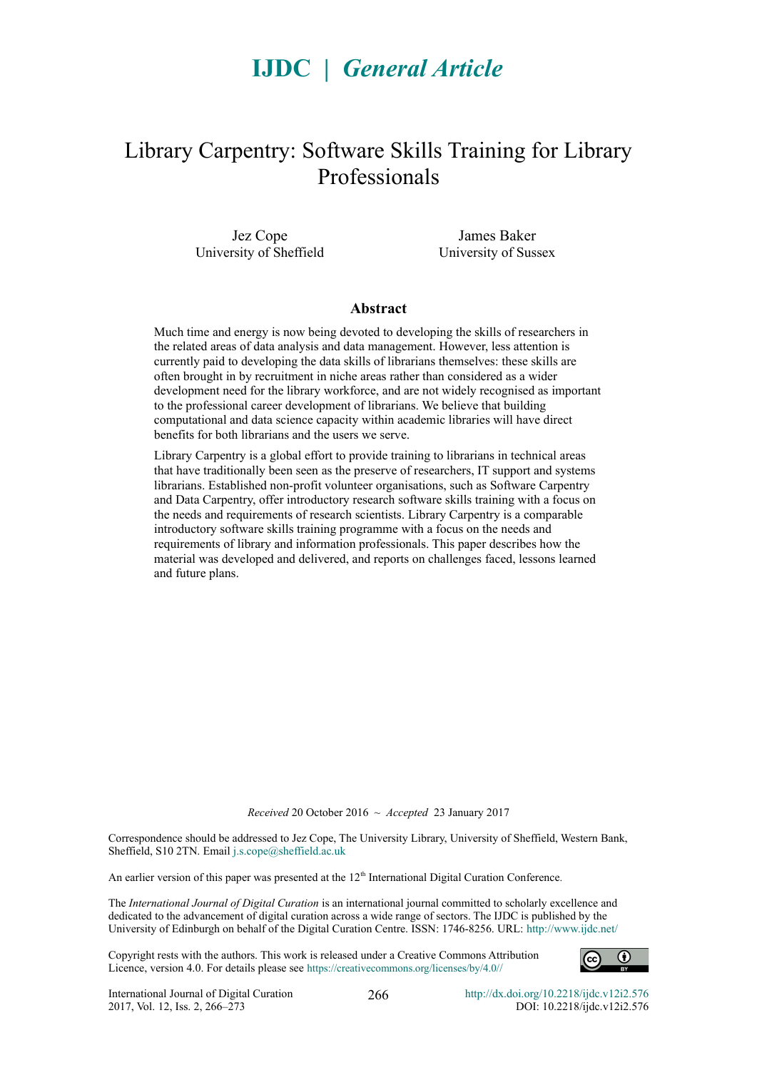# **IJDC |** *General Article*

# Library Carpentry: Software Skills Training for Library Professionals

Jez Cope University of Sheffield

James Baker University of Sussex

#### **Abstract**

Much time and energy is now being devoted to developing the skills of researchers in the related areas of data analysis and data management. However, less attention is currently paid to developing the data skills of librarians themselves: these skills are often brought in by recruitment in niche areas rather than considered as a wider development need for the library workforce, and are not widely recognised as important to the professional career development of librarians. We believe that building computational and data science capacity within academic libraries will have direct benefits for both librarians and the users we serve.

Library Carpentry is a global effort to provide training to librarians in technical areas that have traditionally been seen as the preserve of researchers, IT support and systems librarians. Established non-profit volunteer organisations, such as Software Carpentry and Data Carpentry, offer introductory research software skills training with a focus on the needs and requirements of research scientists. Library Carpentry is a comparable introductory software skills training programme with a focus on the needs and requirements of library and information professionals. This paper describes how the material was developed and delivered, and reports on challenges faced, lessons learned and future plans.

*Received* 20 October 2016 ~ *Accepted* 23 January 2017

Correspondence should be addressed to Jez Cope, The University Library, University of Sheffield, Western Bank, Sheffield, S10 2TN. Email [j.s.cope@sheffield.ac.uk](mailto:j.s.cope@sheffield.ac.uk)

An earlier version of this paper was presented at the 12<sup>th</sup> International Digital Curation Conference.

The *International Journal of Digital Curation* is an international journal committed to scholarly excellence and dedicated to the advancement of digital curation across a wide range of sectors. The IJDC is published by the University of Edinburgh on behalf of the Digital Curation Centre. ISSN: 1746-8256. URL:<http://www.ijdc.net/>

Copyright rests with the authors. This work is released under a Creative Commons Attribution Licence, version 4.0. For details please see https://creativecommons.org/licenses/by/4.0[//](http://creativecommons.org/licenses/by/2.0/uk/)

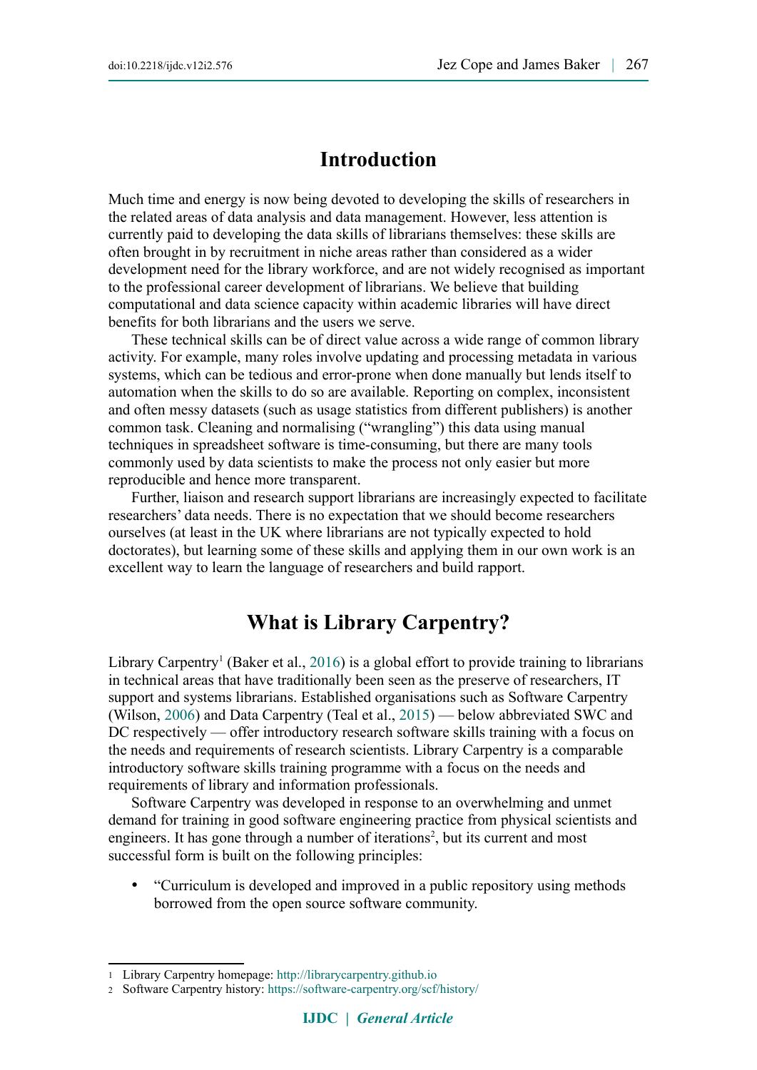### **Introduction**

Much time and energy is now being devoted to developing the skills of researchers in the related areas of data analysis and data management. However, less attention is currently paid to developing the data skills of librarians themselves: these skills are often brought in by recruitment in niche areas rather than considered as a wider development need for the library workforce, and are not widely recognised as important to the professional career development of librarians. We believe that building computational and data science capacity within academic libraries will have direct benefits for both librarians and the users we serve.

These technical skills can be of direct value across a wide range of common library activity. For example, many roles involve updating and processing metadata in various systems, which can be tedious and error-prone when done manually but lends itself to automation when the skills to do so are available. Reporting on complex, inconsistent and often messy datasets (such as usage statistics from different publishers) is another common task. Cleaning and normalising ("wrangling") this data using manual techniques in spreadsheet software is time-consuming, but there are many tools commonly used by data scientists to make the process not only easier but more reproducible and hence more transparent.

Further, liaison and research support librarians are increasingly expected to facilitate researchers' data needs. There is no expectation that we should become researchers ourselves (at least in the UK where librarians are not typically expected to hold doctorates), but learning some of these skills and applying them in our own work is an excellent way to learn the language of researchers and build rapport.

## **What is Library Carpentry?**

Library Carpentry<sup>1</sup> (Baker et al., [2016\)](#page-7-2) is a global effort to provide training to librarians in technical areas that have traditionally been seen as the preserve of researchers, IT support and systems librarians. Established organisations such as Software Carpentry (Wilson, [2006\)](#page-7-1) and Data Carpentry (Teal et al., [2015\)](#page-7-0) — below abbreviated SWC and DC respectively — offer introductory research software skills training with a focus on the needs and requirements of research scientists. Library Carpentry is a comparable introductory software skills training programme with a focus on the needs and requirements of library and information professionals.

Software Carpentry was developed in response to an overwhelming and unmet demand for training in good software engineering practice from physical scientists and engineers. It has gone through a number of iterations<sup>2</sup>, but its current and most successful form is built on the following principles:

 "Curriculum is developed and improved in a public repository using methods borrowed from the open source software community.

<span id="page-1-0"></span><sup>1</sup> Library Carpentry homepage: [http://librarycarpentry.github.io](http://librarycarpentry.github.io/)

<span id="page-1-1"></span><sup>2</sup> Software Carpentry history:<https://software-carpentry.org/scf/history/>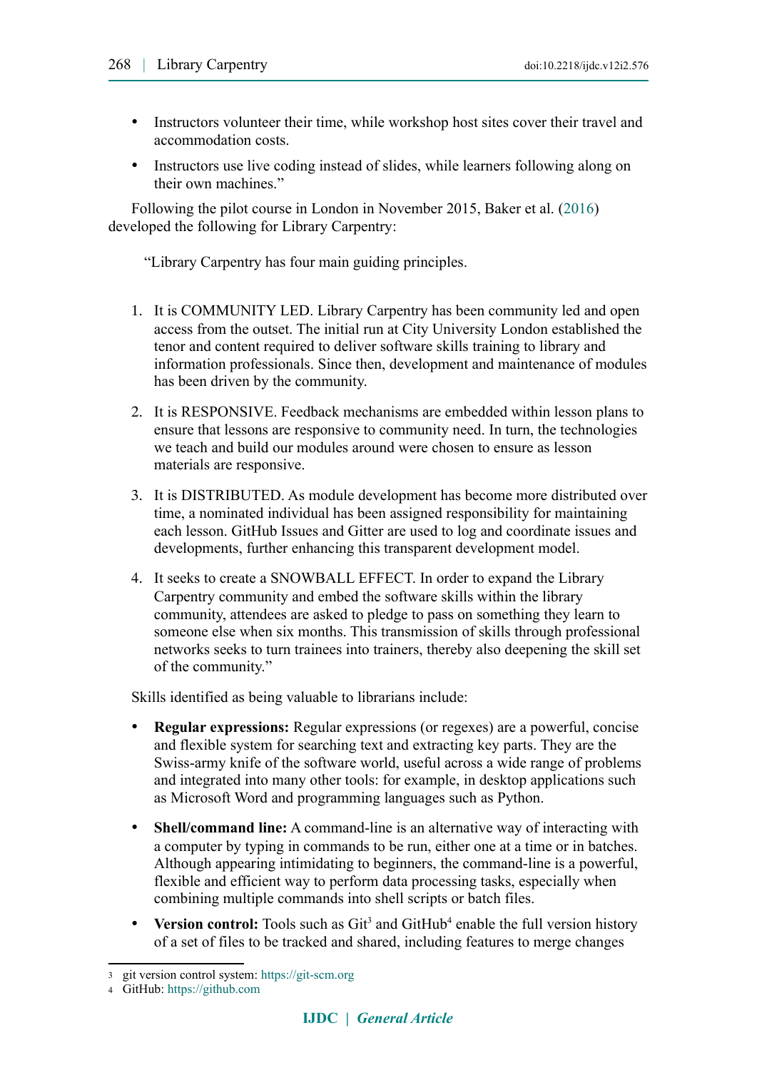- Instructors volunteer their time, while workshop host sites cover their travel and accommodation costs.
- Instructors use live coding instead of slides, while learners following along on their own machines."

Following the pilot course in London in November 2015, Baker et al. [\(2016\)](#page-7-2) developed the following for Library Carpentry:

"Library Carpentry has four main guiding principles.

- 1. It is COMMUNITY LED. Library Carpentry has been community led and open access from the outset. The initial run at City University London established the tenor and content required to deliver software skills training to library and information professionals. Since then, development and maintenance of modules has been driven by the community.
- 2. It is RESPONSIVE. Feedback mechanisms are embedded within lesson plans to ensure that lessons are responsive to community need. In turn, the technologies we teach and build our modules around were chosen to ensure as lesson materials are responsive.
- 3. It is DISTRIBUTED. As module development has become more distributed over time, a nominated individual has been assigned responsibility for maintaining each lesson. GitHub Issues and Gitter are used to log and coordinate issues and developments, further enhancing this transparent development model.
- 4. It seeks to create a SNOWBALL EFFECT. In order to expand the Library Carpentry community and embed the software skills within the library community, attendees are asked to pledge to pass on something they learn to someone else when six months. This transmission of skills through professional networks seeks to turn trainees into trainers, thereby also deepening the skill set of the community."

Skills identified as being valuable to librarians include:

- **Regular expressions:** Regular expressions (or regexes) are a powerful, concise and flexible system for searching text and extracting key parts. They are the Swiss-army knife of the software world, useful across a wide range of problems and integrated into many other tools: for example, in desktop applications such as Microsoft Word and programming languages such as Python.
- **Shell/command line:** A command-line is an alternative way of interacting with a computer by typing in commands to be run, either one at a time or in batches. Although appearing intimidating to beginners, the command-line is a powerful, flexible and efficient way to perform data processing tasks, especially when combining multiple commands into shell scripts or batch files.
- Version control: Tools such as Git<sup>3</sup> and GitHub<sup>4</sup> enable the full version history of a set of files to be tracked and shared, including features to merge changes

<span id="page-2-0"></span><sup>3</sup> git version control system: [https://git-scm.org](https://git-scm.org/)

<span id="page-2-1"></span><sup>4</sup> GitHub: [https://github.com](https://github.com/)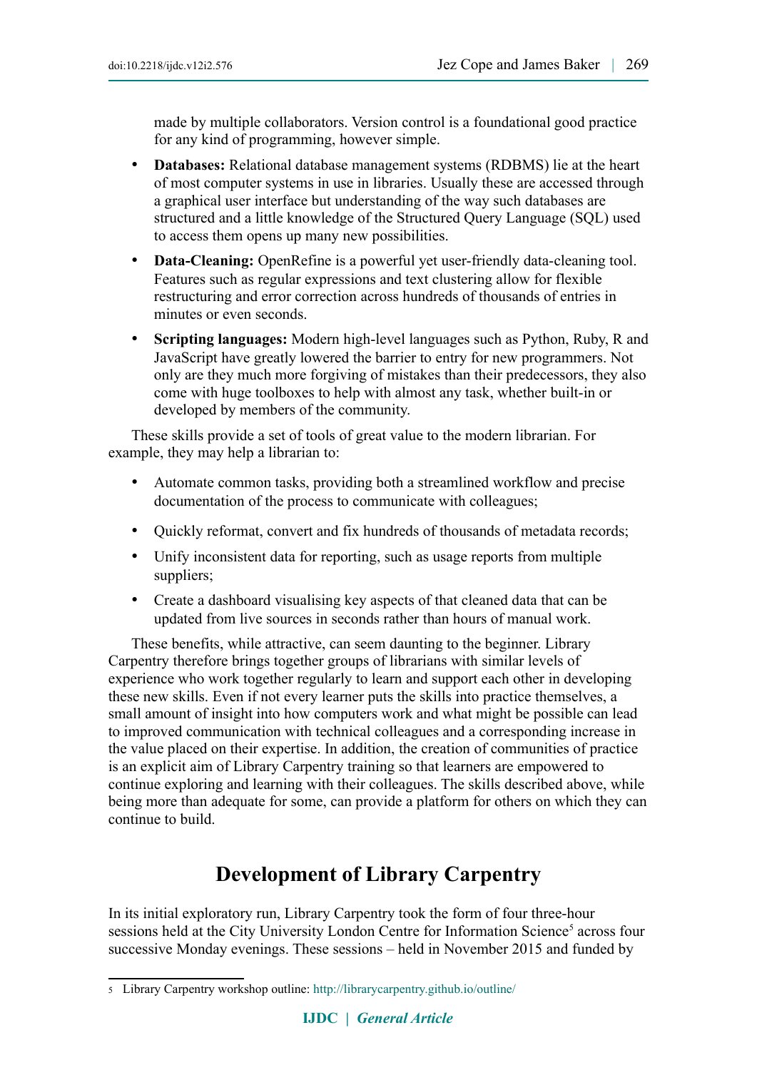made by multiple collaborators. Version control is a foundational good practice for any kind of programming, however simple.

- **Databases:** Relational database management systems (RDBMS) lie at the heart of most computer systems in use in libraries. Usually these are accessed through a graphical user interface but understanding of the way such databases are structured and a little knowledge of the Structured Query Language (SQL) used to access them opens up many new possibilities.
- **Data-Cleaning:** OpenRefine is a powerful yet user-friendly data-cleaning tool. Features such as regular expressions and text clustering allow for flexible restructuring and error correction across hundreds of thousands of entries in minutes or even seconds.
- **Scripting languages:** Modern high-level languages such as Python, Ruby, R and JavaScript have greatly lowered the barrier to entry for new programmers. Not only are they much more forgiving of mistakes than their predecessors, they also come with huge toolboxes to help with almost any task, whether built-in or developed by members of the community.

These skills provide a set of tools of great value to the modern librarian. For example, they may help a librarian to:

- Automate common tasks, providing both a streamlined workflow and precise documentation of the process to communicate with colleagues;
- Quickly reformat, convert and fix hundreds of thousands of metadata records;
- Unify inconsistent data for reporting, such as usage reports from multiple suppliers;
- Create a dashboard visualising key aspects of that cleaned data that can be updated from live sources in seconds rather than hours of manual work.

These benefits, while attractive, can seem daunting to the beginner. Library Carpentry therefore brings together groups of librarians with similar levels of experience who work together regularly to learn and support each other in developing these new skills. Even if not every learner puts the skills into practice themselves, a small amount of insight into how computers work and what might be possible can lead to improved communication with technical colleagues and a corresponding increase in the value placed on their expertise. In addition, the creation of communities of practice is an explicit aim of Library Carpentry training so that learners are empowered to continue exploring and learning with their colleagues. The skills described above, while being more than adequate for some, can provide a platform for others on which they can continue to build.

# **Development of Library Carpentry**

In its initial exploratory run, Library Carpentry took the form of four three-hour sessions held at the City University London Centre for Information Science<sup>5</sup> across four successive Monday evenings. These sessions – held in November 2015 and funded by

<span id="page-3-0"></span><sup>5</sup> Library Carpentry workshop outline: <http://librarycarpentry.github.io/outline/>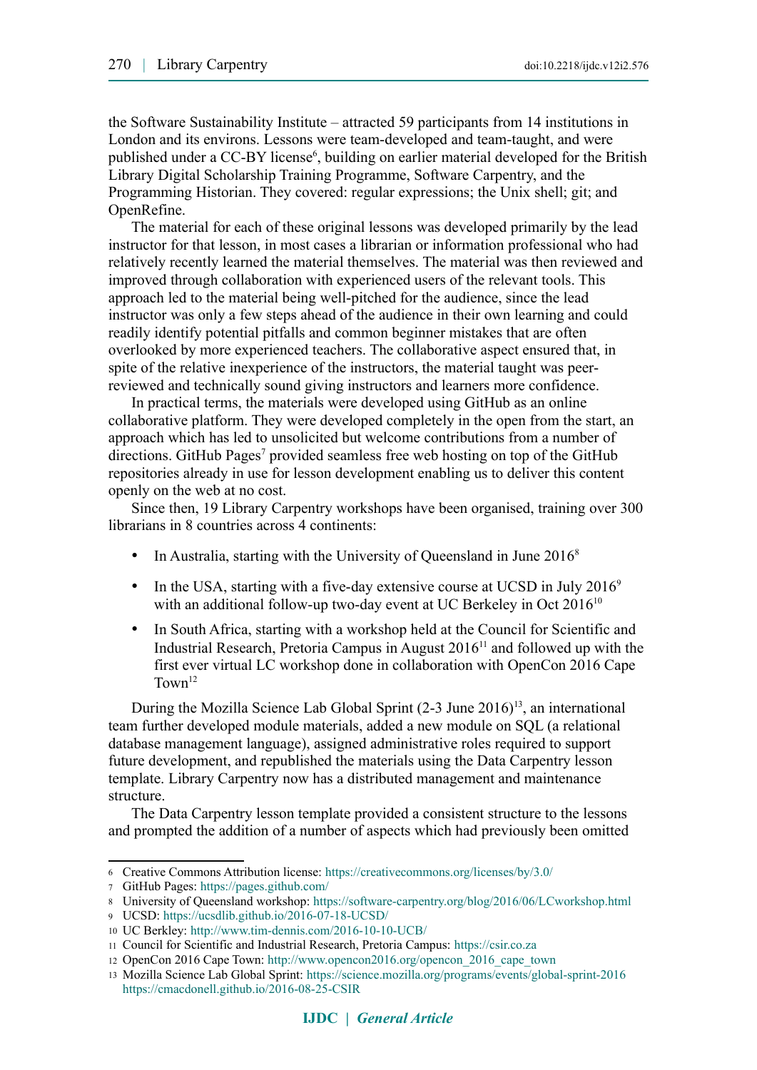the Software Sustainability Institute – attracted 59 participants from 14 institutions in London and its environs. Lessons were team-developed and team-taught, and were published under a CC-BY license<sup>6</sup>, building on earlier material developed for the British Library Digital Scholarship Training Programme, Software Carpentry, and the Programming Historian. They covered: regular expressions; the Unix shell; git; and OpenRefine.

The material for each of these original lessons was developed primarily by the lead instructor for that lesson, in most cases a librarian or information professional who had relatively recently learned the material themselves. The material was then reviewed and improved through collaboration with experienced users of the relevant tools. This approach led to the material being well-pitched for the audience, since the lead instructor was only a few steps ahead of the audience in their own learning and could readily identify potential pitfalls and common beginner mistakes that are often overlooked by more experienced teachers. The collaborative aspect ensured that, in spite of the relative inexperience of the instructors, the material taught was peerreviewed and technically sound giving instructors and learners more confidence.

In practical terms, the materials were developed using GitHub as an online collaborative platform. They were developed completely in the open from the start, an approach which has led to unsolicited but welcome contributions from a number of directions. GitHub Pages<sup>7</sup> provided seamless free web hosting on top of the GitHub repositories already in use for lesson development enabling us to deliver this content openly on the web at no cost.

Since then, 19 Library Carpentry workshops have been organised, training over 300 librarians in 8 countries across 4 continents:

- In Australia, starting with the University of Queensland in June 2016<sup>8</sup>
- $\bullet$  In the USA, starting with a five-day extensive course at UCSD in July 2016<sup>9</sup> with an additional follow-up two-day event at UC Berkeley in Oct 2016<sup>10</sup>
- In South Africa, starting with a workshop held at the Council for Scientific and Industrial Research, Pretoria Campus in August  $2016<sup>11</sup>$  and followed up with the first ever virtual LC workshop done in collaboration with OpenCon 2016 Cape  $T<sub>own</sub><sup>12</sup>$

During the Mozilla Science Lab Global Sprint  $(2-3$  June 2016)<sup>13</sup>, an international team further developed module materials, added a new module on SQL (a relational database management language), assigned administrative roles required to support future development, and republished the materials using the Data Carpentry lesson template. Library Carpentry now has a distributed management and maintenance structure.

The Data Carpentry lesson template provided a consistent structure to the lessons and prompted the addition of a number of aspects which had previously been omitted

<span id="page-4-0"></span><sup>6</sup> Creative Commons Attribution license:<https://creativecommons.org/licenses/by/3.0/>

<span id="page-4-1"></span><sup>7</sup> GitHub Pages: <https://pages.github.com/>

<span id="page-4-2"></span><sup>8</sup> University of Queensland workshop: <https://software-carpentry.org/blog/2016/06/LCworkshop.html>

<span id="page-4-3"></span><sup>9</sup> UCSD: <https://ucsdlib.github.io/2016-07-18-UCSD/>

<span id="page-4-4"></span><sup>10</sup> UC Berkley: <http://www.tim-dennis.com/2016-10-10-UCB/>

<span id="page-4-5"></span><sup>11</sup> Council for Scientific and Industrial Research, Pretoria Campus: [https://csir.co.za](https://csir.co.za/)

<span id="page-4-6"></span><sup>12</sup> OpenCon 2016 Cape Town: [http://www.opencon2016.org/opencon\\_2016\\_cape\\_town](http://www.opencon2016.org/opencon_2016_cape_town)

<span id="page-4-7"></span><sup>13</sup> Mozilla Science Lab Global Sprint: <https://science.mozilla.org/programs/events/global-sprint-2016> <https://cmacdonell.github.io/2016-08-25-CSIR>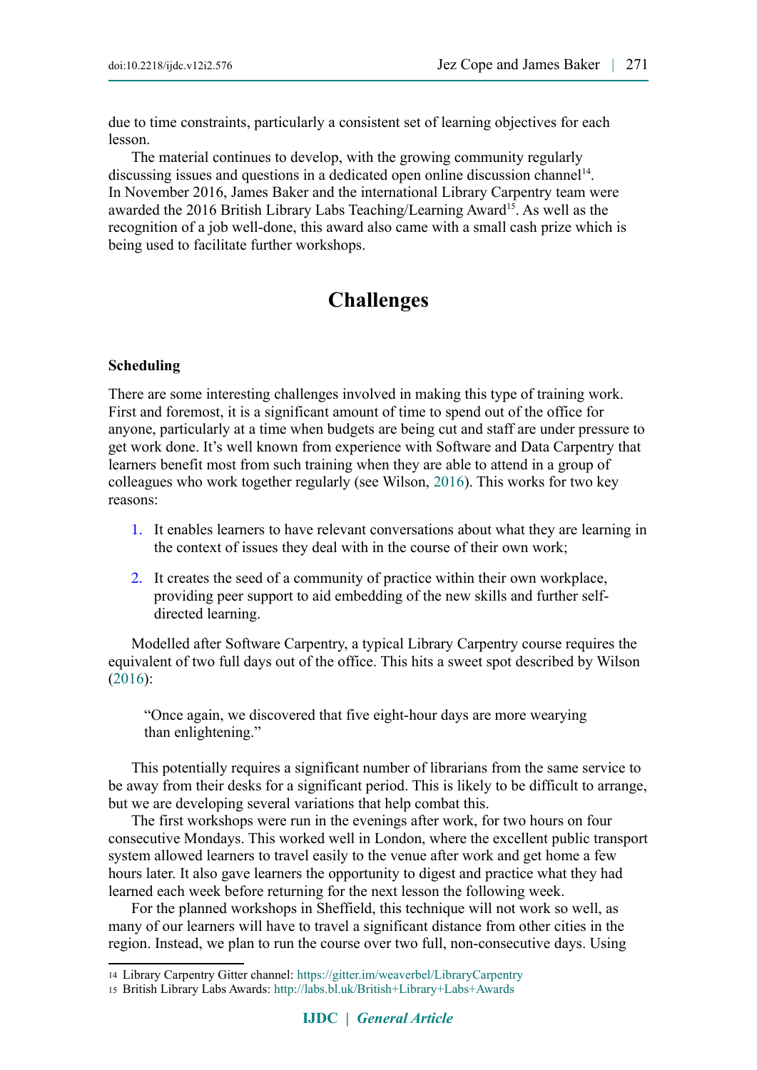due to time constraints, particularly a consistent set of learning objectives for each lesson.

The material continues to develop, with the growing community regularly discussing issues and questions in a dedicated open online discussion channel<sup>14</sup>. In November 2016, James Baker and the international Library Carpentry team were awarded the 2016 British Library Labs Teaching/Learning Award<sup>15</sup>. As well as the recognition of a job well-done, this award also came with a small cash prize which is being used to facilitate further workshops.

### **Challenges**

#### **Scheduling**

There are some interesting challenges involved in making this type of training work. First and foremost, it is a significant amount of time to spend out of the office for anyone, particularly at a time when budgets are being cut and staff are under pressure to get work done. It's well known from experience with Software and Data Carpentry that learners benefit most from such training when they are able to attend in a group of colleagues who work together regularly (see Wilson, [2016\)](#page-7-3). This works for two key reasons:

- 1. It enables learners to have relevant conversations about what they are learning in the context of issues they deal with in the course of their own work;
- 2. It creates the seed of a community of practice within their own workplace, providing peer support to aid embedding of the new skills and further selfdirected learning.

Modelled after Software Carpentry, a typical Library Carpentry course requires the equivalent of two full days out of the office. This hits a sweet spot described by Wilson [\(2016\)](#page-7-3):

"Once again, we discovered that five eight-hour days are more wearying than enlightening."

This potentially requires a significant number of librarians from the same service to be away from their desks for a significant period. This is likely to be difficult to arrange, but we are developing several variations that help combat this.

The first workshops were run in the evenings after work, for two hours on four consecutive Mondays. This worked well in London, where the excellent public transport system allowed learners to travel easily to the venue after work and get home a few hours later. It also gave learners the opportunity to digest and practice what they had learned each week before returning for the next lesson the following week.

For the planned workshops in Sheffield, this technique will not work so well, as many of our learners will have to travel a significant distance from other cities in the region. Instead, we plan to run the course over two full, non-consecutive days. Using

<span id="page-5-0"></span><sup>14</sup> Library Carpentry Gitter channel: <https://gitter.im/weaverbel/LibraryCarpentry>

<span id="page-5-1"></span><sup>15</sup> British Library Labs Awards: <http://labs.bl.uk/British+Library+Labs+Awards>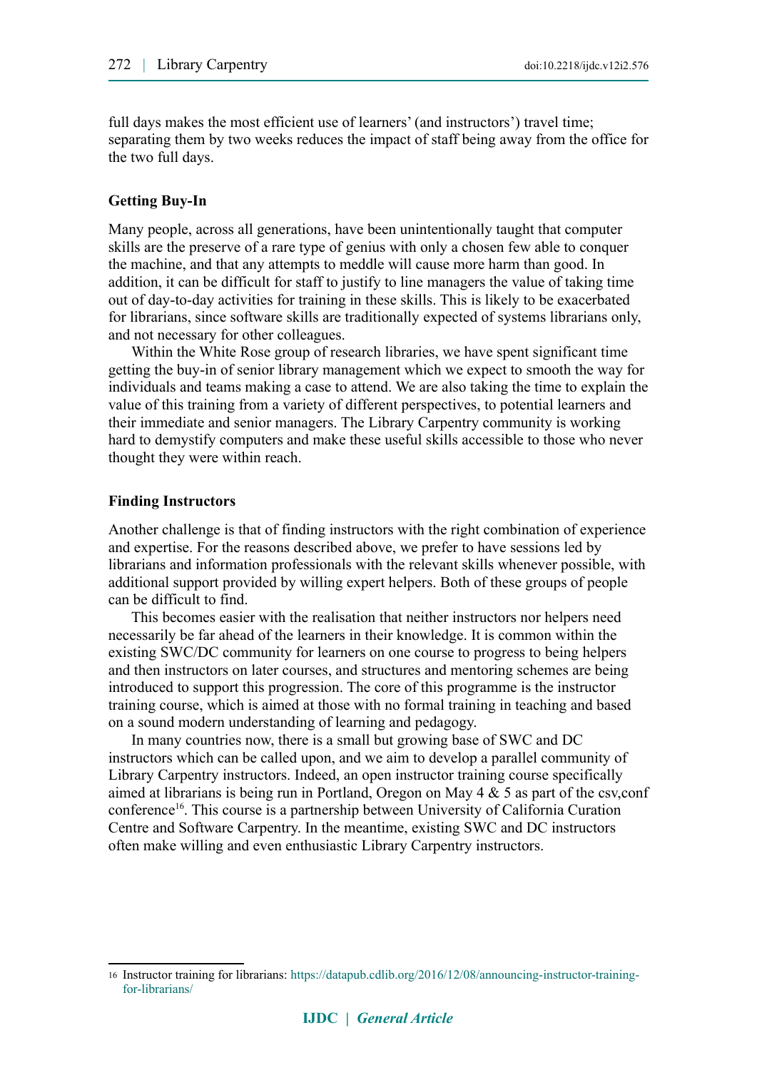full days makes the most efficient use of learners' (and instructors') travel time; separating them by two weeks reduces the impact of staff being away from the office for the two full days.

#### **Getting Buy-In**

Many people, across all generations, have been unintentionally taught that computer skills are the preserve of a rare type of genius with only a chosen few able to conquer the machine, and that any attempts to meddle will cause more harm than good. In addition, it can be difficult for staff to justify to line managers the value of taking time out of day-to-day activities for training in these skills. This is likely to be exacerbated for librarians, since software skills are traditionally expected of systems librarians only, and not necessary for other colleagues.

Within the White Rose group of research libraries, we have spent significant time getting the buy-in of senior library management which we expect to smooth the way for individuals and teams making a case to attend. We are also taking the time to explain the value of this training from a variety of different perspectives, to potential learners and their immediate and senior managers. The Library Carpentry community is working hard to demystify computers and make these useful skills accessible to those who never thought they were within reach.

#### **Finding Instructors**

Another challenge is that of finding instructors with the right combination of experience and expertise. For the reasons described above, we prefer to have sessions led by librarians and information professionals with the relevant skills whenever possible, with additional support provided by willing expert helpers. Both of these groups of people can be difficult to find.

This becomes easier with the realisation that neither instructors nor helpers need necessarily be far ahead of the learners in their knowledge. It is common within the existing SWC/DC community for learners on one course to progress to being helpers and then instructors on later courses, and structures and mentoring schemes are being introduced to support this progression. The core of this programme is the instructor training course, which is aimed at those with no formal training in teaching and based on a sound modern understanding of learning and pedagogy.

In many countries now, there is a small but growing base of SWC and DC instructors which can be called upon, and we aim to develop a parallel community of Library Carpentry instructors. Indeed, an open instructor training course specifically aimed at librarians is being run in Portland, Oregon on May  $4 \& 5$  as part of the csv, conf conference<sup>16</sup>. This course is a partnership between University of California Curation Centre and Software Carpentry. In the meantime, existing SWC and DC instructors often make willing and even enthusiastic Library Carpentry instructors.

<span id="page-6-0"></span><sup>16</sup> Instructor training for librarians: [https://datapub.cdlib.org/2016/12/08/announcing-instructor-training](https://datapub.cdlib.org/2016/12/08/announcing-instructor-training-for-librarians/)[for-librarians/](https://datapub.cdlib.org/2016/12/08/announcing-instructor-training-for-librarians/)